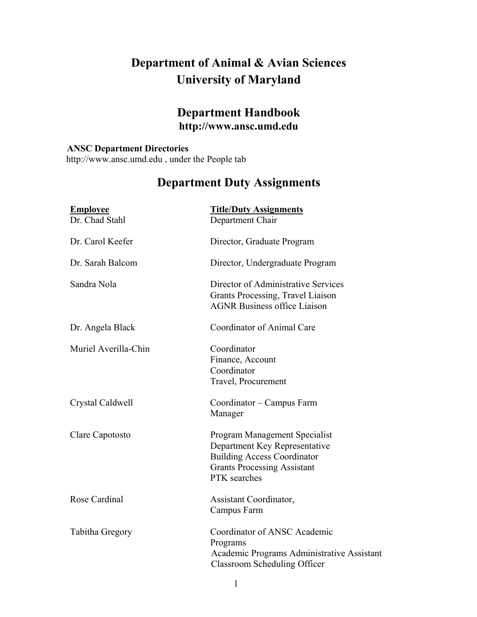# **Department of Animal & Avian Sciences University of Maryland**

# **Department Handbook http://www.ansc.umd.edu**

### **ANSC Department Directories**

http://www.ansc.umd.edu , under the People tab

# **Department Duty Assignments**

| <b>Employee</b><br>Dr. Chad Stahl | <b>Title/Duty Assignments</b><br>Department Chair                                                                                                          |
|-----------------------------------|------------------------------------------------------------------------------------------------------------------------------------------------------------|
| Dr. Carol Keefer                  | Director, Graduate Program                                                                                                                                 |
| Dr. Sarah Balcom                  | Director, Undergraduate Program                                                                                                                            |
| Sandra Nola                       | Director of Administrative Services<br>Grants Processing, Travel Liaison<br><b>AGNR Business office Liaison</b>                                            |
| Dr. Angela Black                  | Coordinator of Animal Care                                                                                                                                 |
| Muriel Averilla-Chin              | Coordinator<br>Finance, Account<br>Coordinator<br>Travel, Procurement                                                                                      |
| Crystal Caldwell                  | Coordinator - Campus Farm<br>Manager                                                                                                                       |
| Clare Capotosto                   | Program Management Specialist<br>Department Key Representative<br><b>Building Access Coordinator</b><br><b>Grants Processing Assistant</b><br>PTK searches |
| Rose Cardinal                     | Assistant Coordinator,<br>Campus Farm                                                                                                                      |
| Tabitha Gregory                   | Coordinator of ANSC Academic<br>Programs<br>Academic Programs Administrative Assistant<br>Classroom Scheduling Officer                                     |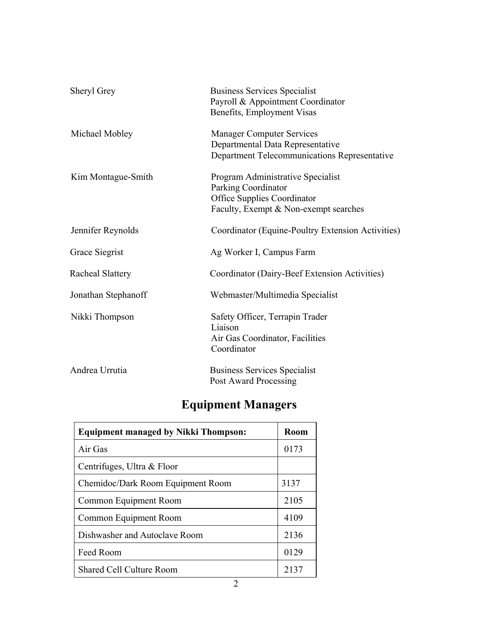| Sheryl Grey         | <b>Business Services Specialist</b><br>Payroll & Appointment Coordinator<br>Benefits, Employment Visas                                  |
|---------------------|-----------------------------------------------------------------------------------------------------------------------------------------|
| Michael Mobley      | <b>Manager Computer Services</b><br>Departmental Data Representative<br>Department Telecommunications Representative                    |
| Kim Montague-Smith  | Program Administrative Specialist<br>Parking Coordinator<br><b>Office Supplies Coordinator</b><br>Faculty, Exempt & Non-exempt searches |
| Jennifer Reynolds   | Coordinator (Equine-Poultry Extension Activities)                                                                                       |
| Grace Siegrist      | Ag Worker I, Campus Farm                                                                                                                |
| Racheal Slattery    | Coordinator (Dairy-Beef Extension Activities)                                                                                           |
| Jonathan Stephanoff | Webmaster/Multimedia Specialist                                                                                                         |
| Nikki Thompson      | Safety Officer, Terrapin Trader<br>Liaison<br>Air Gas Coordinator, Facilities<br>Coordinator                                            |
| Andrea Urrutia      | <b>Business Services Specialist</b><br><b>Post Award Processing</b>                                                                     |

# **Equipment Managers**

| <b>Equipment managed by Nikki Thompson:</b> | <b>Room</b> |
|---------------------------------------------|-------------|
| Air Gas                                     | 0173        |
| Centrifuges, Ultra & Floor                  |             |
| Chemidoc/Dark Room Equipment Room           | 3137        |
| Common Equipment Room                       | 2105        |
| Common Equipment Room                       | 4109        |
| Dishwasher and Autoclave Room               | 2136        |
| Feed Room                                   | 0129        |
| <b>Shared Cell Culture Room</b>             | 2137        |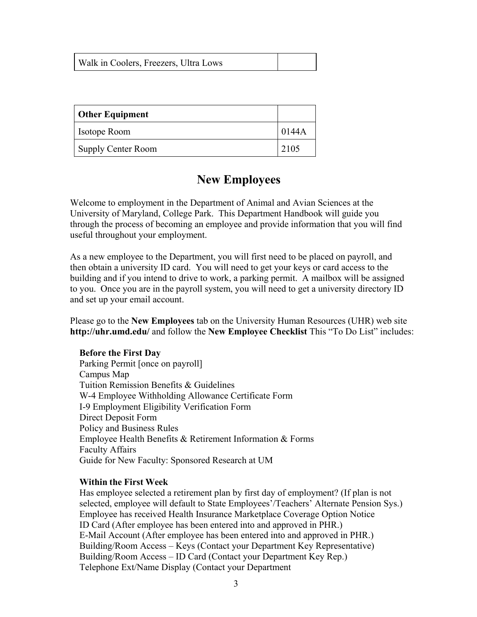| Walk in Coolers, Freezers, Ultra Lows |  |
|---------------------------------------|--|
|---------------------------------------|--|

| <b>Other Equipment</b> |       |
|------------------------|-------|
| <b>Isotope Room</b>    | 0144A |
| Supply Center Room     | 2105  |

# **New Employees**

Welcome to employment in the Department of Animal and Avian Sciences at the University of Maryland, College Park. This Department Handbook will guide you through the process of becoming an employee and provide information that you will find useful throughout your employment.

As a new employee to the Department, you will first need to be placed on payroll, and then obtain a university ID card. You will need to get your keys or card access to the building and if you intend to drive to work, a parking permit. A mailbox will be assigned to you. Once you are in the payroll system, you will need to get a university directory ID and set up your email account.

Please go to the **New Employees** tab on the University Human Resources (UHR) web site **http://uhr.umd.edu/** and follow the **New Employee Checklist** This "To Do List" includes:

### **Before the First Day**

Parking Permit [once on payroll] Campus Map Tuition Remission Benefits & Guidelines W-4 Employee Withholding Allowance Certificate Form I-9 Employment Eligibility Verification Form Direct Deposit Form Policy and Business Rules Employee Health Benefits & Retirement Information & Forms Faculty Affairs Guide for New Faculty: Sponsored Research at UM

#### **Within the First Week**

Has employee selected a retirement plan by first day of employment? (If plan is not selected, employee will default to State Employees'/Teachers' Alternate Pension Sys.) Employee has received Health Insurance Marketplace Coverage Option Notice ID Card (After employee has been entered into and approved in PHR.) E-Mail Account (After employee has been entered into and approved in PHR.) Building/Room Access – Keys (Contact your Department Key Representative) Building/Room Access – ID Card (Contact your Department Key Rep.) Telephone Ext/Name Display (Contact your Department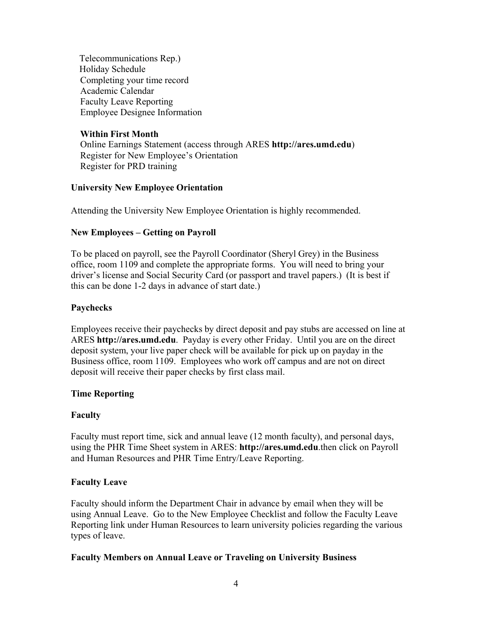Telecommunications Rep.) Holiday Schedule Completing your time record Academic Calendar Faculty Leave Reporting Employee Designee Information

### **Within First Month**

Online Earnings Statement (access through ARES **http://ares.umd.edu**) Register for New Employee's Orientation Register for PRD training

### **University New Employee Orientation**

Attending the University New Employee Orientation is highly recommended.

### **New Employees – Getting on Payroll**

To be placed on payroll, see the Payroll Coordinator (Sheryl Grey) in the Business office, room 1109 and complete the appropriate forms. You will need to bring your driver's license and Social Security Card (or passport and travel papers.) (It is best if this can be done 1-2 days in advance of start date.)

### **Paychecks**

Employees receive their paychecks by direct deposit and pay stubs are accessed on line at ARES **http://ares.umd.edu**. Payday is every other Friday. Until you are on the direct deposit system, your live paper check will be available for pick up on payday in the Business office, room 1109. Employees who work off campus and are not on direct deposit will receive their paper checks by first class mail.

### **Time Reporting**

### **Faculty**

Faculty must report time, sick and annual leave (12 month faculty), and personal days, using the PHR Time Sheet system in ARES: **http://ares.umd.edu**.then click on Payroll and Human Resources and PHR Time Entry/Leave Reporting.

### **Faculty Leave**

Faculty should inform the Department Chair in advance by email when they will be using Annual Leave. Go to the New Employee Checklist and follow the Faculty Leave Reporting link under Human Resources to learn university policies regarding the various types of leave.

### **Faculty Members on Annual Leave or Traveling on University Business**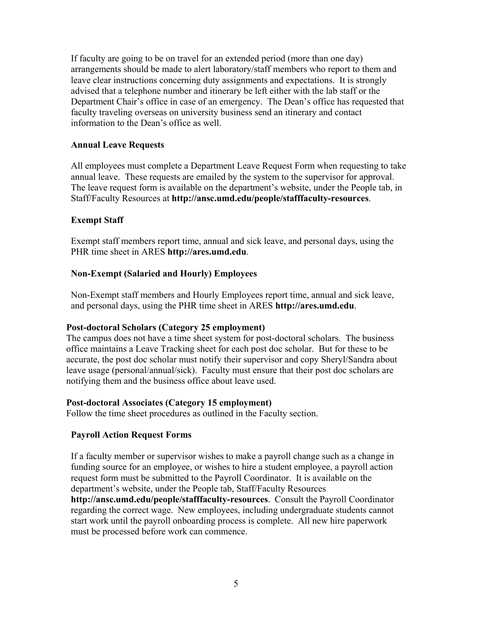If faculty are going to be on travel for an extended period (more than one day) arrangements should be made to alert laboratory/staff members who report to them and leave clear instructions concerning duty assignments and expectations. It is strongly advised that a telephone number and itinerary be left either with the lab staff or the Department Chair's office in case of an emergency. The Dean's office has requested that faculty traveling overseas on university business send an itinerary and contact information to the Dean's office as well.

### **Annual Leave Requests**

All employees must complete a Department Leave Request Form when requesting to take annual leave. These requests are emailed by the system to the supervisor for approval. The leave request form is available on the department's website, under the People tab, in Staff/Faculty Resources at **http://ansc.umd.edu/people/stafffaculty-resources**.

### **Exempt Staff**

Exempt staff members report time, annual and sick leave, and personal days, using the PHR time sheet in ARES **http://ares.umd.edu**.

### **Non-Exempt (Salaried and Hourly) Employees**

Non-Exempt staff members and Hourly Employees report time, annual and sick leave, and personal days, using the PHR time sheet in ARES **http://ares.umd.edu**.

### **Post-doctoral Scholars (Category 25 employment)**

The campus does not have a time sheet system for post-doctoral scholars. The business office maintains a Leave Tracking sheet for each post doc scholar. But for these to be accurate, the post doc scholar must notify their supervisor and copy Sheryl/Sandra about leave usage (personal/annual/sick). Faculty must ensure that their post doc scholars are notifying them and the business office about leave used.

### **Post-doctoral Associates (Category 15 employment)**

Follow the time sheet procedures as outlined in the Faculty section.

### **Payroll Action Request Forms**

If a faculty member or supervisor wishes to make a payroll change such as a change in funding source for an employee, or wishes to hire a student employee, a payroll action request form must be submitted to the Payroll Coordinator. It is available on the department's website, under the People tab, Staff/Faculty Resources

**http://ansc.umd.edu/people/stafffaculty-resources**. Consult the Payroll Coordinator regarding the correct wage. New employees, including undergraduate students cannot start work until the payroll onboarding process is complete. All new hire paperwork must be processed before work can commence.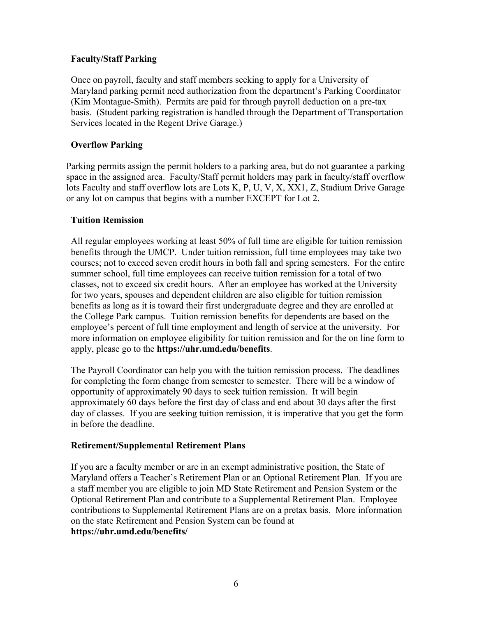### **Faculty/Staff Parking**

Once on payroll, faculty and staff members seeking to apply for a University of Maryland parking permit need authorization from the department's Parking Coordinator (Kim Montague-Smith). Permits are paid for through payroll deduction on a pre-tax basis. (Student parking registration is handled through the Department of Transportation Services located in the Regent Drive Garage.)

### **Overflow Parking**

Parking permits assign the permit holders to a parking area, but do not guarantee a parking space in the assigned area. Faculty/Staff permit holders may park in faculty/staff overflow lots Faculty and staff overflow lots are Lots K, P, U, V, X, XX1, Z, Stadium Drive Garage or any lot on campus that begins with a number EXCEPT for Lot 2.

### **Tuition Remission**

All regular employees working at least 50% of full time are eligible for tuition remission benefits through the UMCP. Under tuition remission, full time employees may take two courses; not to exceed seven credit hours in both fall and spring semesters. For the entire summer school, full time employees can receive tuition remission for a total of two classes, not to exceed six credit hours. After an employee has worked at the University for two years, spouses and dependent children are also eligible for tuition remission benefits as long as it is toward their first undergraduate degree and they are enrolled at the College Park campus. Tuition remission benefits for dependents are based on the employee's percent of full time employment and length of service at the university. For more information on employee eligibility for tuition remission and for the on line form to apply, please go to the **https://uhr.umd.edu/benefits**.

The Payroll Coordinator can help you with the tuition remission process. The deadlines for completing the form change from semester to semester. There will be a window of opportunity of approximately 90 days to seek tuition remission. It will begin approximately 60 days before the first day of class and end about 30 days after the first day of classes. If you are seeking tuition remission, it is imperative that you get the form in before the deadline.

### **Retirement/Supplemental Retirement Plans**

If you are a faculty member or are in an exempt administrative position, the State of Maryland offers a Teacher's Retirement Plan or an Optional Retirement Plan. If you are a staff member you are eligible to join MD State Retirement and Pension System or the Optional Retirement Plan and contribute to a Supplemental Retirement Plan. Employee contributions to Supplemental Retirement Plans are on a pretax basis. More information on the state Retirement and Pension System can be found at **https://uhr.umd.edu/benefits/**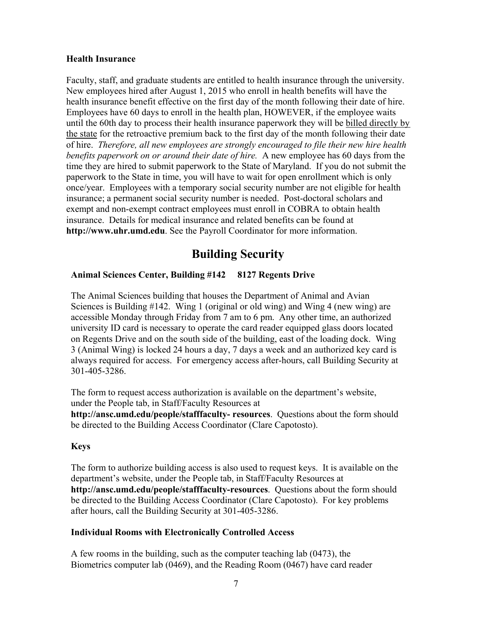### **Health Insurance**

Faculty, staff, and graduate students are entitled to health insurance through the university. New employees hired after August 1, 2015 who enroll in health benefits will have the health insurance benefit effective on the first day of the month following their date of hire. Employees have 60 days to enroll in the health plan, HOWEVER, if the employee waits until the 60th day to process their health insurance paperwork they will be billed directly by the state for the retroactive premium back to the first day of the month following their date of hire. *Therefore, all new employees are strongly encouraged to file their new hire health benefits paperwork on or around their date of hire.* A new employee has 60 days from the time they are hired to submit paperwork to the State of Maryland. If you do not submit the paperwork to the State in time, you will have to wait for open enrollment which is only once/year. Employees with a temporary social security number are not eligible for health insurance; a permanent social security number is needed. Post-doctoral scholars and exempt and non-exempt contract employees must enroll in COBRA to obtain health insurance. Details for medical insurance and related benefits can be found at **http://www.uhr.umd.edu**. See the Payroll Coordinator for more information.

# **Building Security**

### **Animal Sciences Center, Building #142 8127 Regents Drive**

The Animal Sciences building that houses the Department of Animal and Avian Sciences is Building #142. Wing 1 (original or old wing) and Wing 4 (new wing) are accessible Monday through Friday from 7 am to 6 pm. Any other time, an authorized university ID card is necessary to operate the card reader equipped glass doors located on Regents Drive and on the south side of the building, east of the loading dock. Wing 3 (Animal Wing) is locked 24 hours a day, 7 days a week and an authorized key card is always required for access. For emergency access after-hours, call Building Security at 301-405-3286.

The form to request access authorization is available on the department's website, under the People tab, in Staff/Faculty Resources at **http://ansc.umd.edu/people/stafffaculty- resources**. Questions about the form should be directed to the Building Access Coordinator (Clare Capotosto).

### **Keys**

The form to authorize building access is also used to request keys. It is available on the department's website, under the People tab, in Staff/Faculty Resources at **http://ansc.umd.edu/people/stafffaculty-resources**. Questions about the form should be directed to the Building Access Coordinator (Clare Capotosto). For key problems after hours, call the Building Security at 301-405-3286.

### **Individual Rooms with Electronically Controlled Access**

A few rooms in the building, such as the computer teaching lab (0473), the Biometrics computer lab (0469), and the Reading Room (0467) have card reader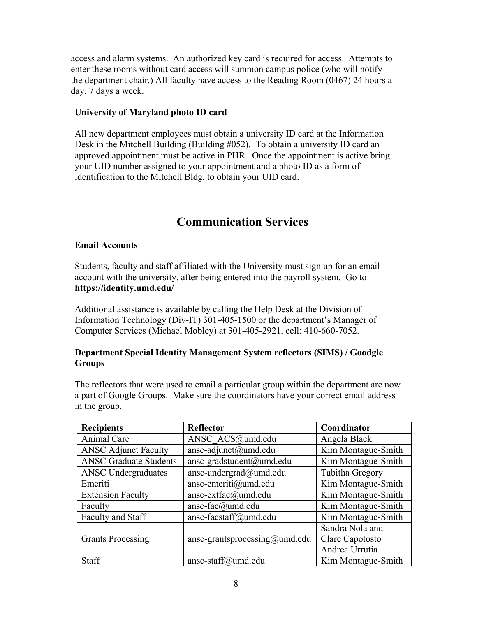access and alarm systems. An authorized key card is required for access. Attempts to enter these rooms without card access will summon campus police (who will notify the department chair.) All faculty have access to the Reading Room (0467) 24 hours a day, 7 days a week.

### **University of Maryland photo ID card**

All new department employees must obtain a university ID card at the Information Desk in the Mitchell Building (Building #052). To obtain a university ID card an approved appointment must be active in PHR. Once the appointment is active bring your UID number assigned to your appointment and a photo ID as a form of identification to the Mitchell Bldg. to obtain your UID card.

# **Communication Services**

### **Email Accounts**

Students, faculty and staff affiliated with the University must sign up for an email account with the university, after being entered into the payroll system. Go to **https://identity.umd.edu/**

Additional assistance is available by calling the Help Desk at the Division of Information Technology (Div-IT) 301-405-1500 or the department's Manager of Computer Services (Michael Mobley) at 301-405-2921, cell: 410-660-7052.

### **Department Special Identity Management System reflectors (SIMS) / Goodgle Groups**

The reflectors that were used to email a particular group within the department are now a part of Google Groups. Make sure the coordinators have your correct email address in the group.

| <b>Recipients</b><br><b>Reflector</b> |                               | Coordinator        |
|---------------------------------------|-------------------------------|--------------------|
| Animal Care                           | ANSC ACS@umd.edu              | Angela Black       |
| <b>ANSC Adjunct Faculty</b>           | ansc-adjunct@umd.edu          | Kim Montague-Smith |
| <b>ANSC Graduate Students</b>         | ansc-gradstudent@umd.edu      | Kim Montague-Smith |
| <b>ANSC Undergraduates</b>            | ansc-undergrad@umd.edu        | Tabitha Gregory    |
| Emeriti                               | ansc-emeriti@umd.edu          | Kim Montague-Smith |
| <b>Extension Faculty</b>              | ansc-extfac@umd.edu           | Kim Montague-Smith |
| Faculty                               | ansc-fac@umd.edu              | Kim Montague-Smith |
| Faculty and Staff                     | ansc-facstaff@umd.edu         | Kim Montague-Smith |
|                                       |                               | Sandra Nola and    |
| <b>Grants Processing</b>              | ansc-grantsprocessing@umd.edu | Clare Capotosto    |
|                                       |                               | Andrea Urrutia     |
| Staff                                 | ansc-staff@umd.edu            | Kim Montague-Smith |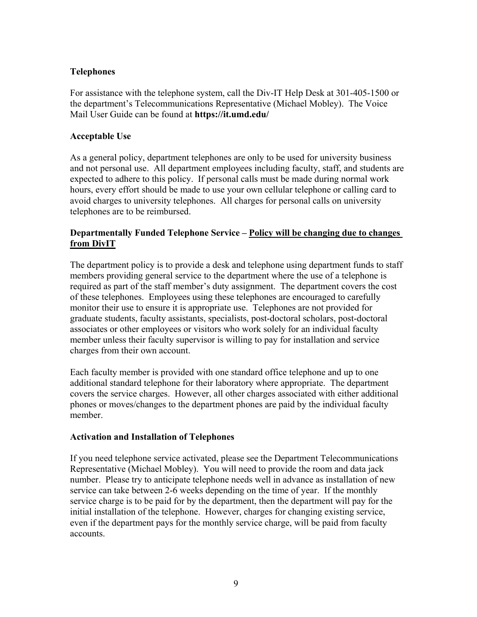### **Telephones**

For assistance with the telephone system, call the Div-IT Help Desk at 301-405-1500 or the department's Telecommunications Representative (Michael Mobley). The Voice Mail User Guide can be found at **https://it.umd.edu/**

### **Acceptable Use**

As a general policy, department telephones are only to be used for university business and not personal use. All department employees including faculty, staff, and students are expected to adhere to this policy. If personal calls must be made during normal work hours, every effort should be made to use your own cellular telephone or calling card to avoid charges to university telephones. All charges for personal calls on university telephones are to be reimbursed.

### **Departmentally Funded Telephone Service – Policy will be changing due to changes from DivIT**

The department policy is to provide a desk and telephone using department funds to staff members providing general service to the department where the use of a telephone is required as part of the staff member's duty assignment. The department covers the cost of these telephones. Employees using these telephones are encouraged to carefully monitor their use to ensure it is appropriate use. Telephones are not provided for graduate students, faculty assistants, specialists, post-doctoral scholars, post-doctoral associates or other employees or visitors who work solely for an individual faculty member unless their faculty supervisor is willing to pay for installation and service charges from their own account.

Each faculty member is provided with one standard office telephone and up to one additional standard telephone for their laboratory where appropriate. The department covers the service charges. However, all other charges associated with either additional phones or moves/changes to the department phones are paid by the individual faculty member.

### **Activation and Installation of Telephones**

If you need telephone service activated, please see the Department Telecommunications Representative (Michael Mobley). You will need to provide the room and data jack number. Please try to anticipate telephone needs well in advance as installation of new service can take between 2-6 weeks depending on the time of year. If the monthly service charge is to be paid for by the department, then the department will pay for the initial installation of the telephone. However, charges for changing existing service, even if the department pays for the monthly service charge, will be paid from faculty accounts.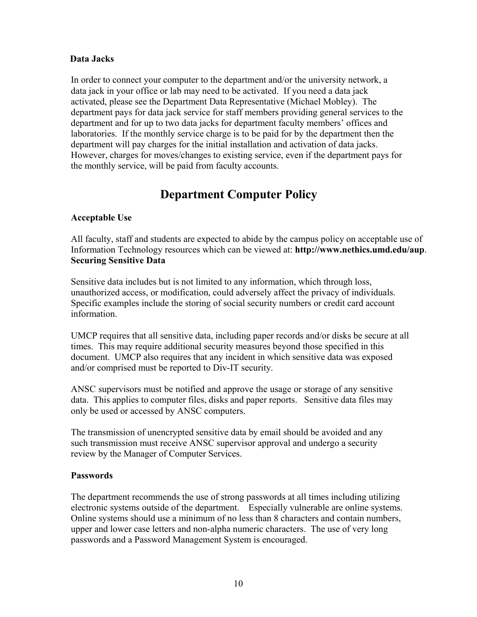### **Data Jacks**

In order to connect your computer to the department and/or the university network, a data jack in your office or lab may need to be activated. If you need a data jack activated, please see the Department Data Representative (Michael Mobley). The department pays for data jack service for staff members providing general services to the department and for up to two data jacks for department faculty members' offices and laboratories. If the monthly service charge is to be paid for by the department then the department will pay charges for the initial installation and activation of data jacks. However, charges for moves/changes to existing service, even if the department pays for the monthly service, will be paid from faculty accounts.

# **Department Computer Policy**

### **Acceptable Use**

All faculty, staff and students are expected to abide by the campus policy on acceptable use of Information Technology resources which can be viewed at: **http://www.nethics.umd.edu/aup**. **Securing Sensitive Data**

Sensitive data includes but is not limited to any information, which through loss, unauthorized access, or modification, could adversely affect the privacy of individuals. Specific examples include the storing of social security numbers or credit card account information.

UMCP requires that all sensitive data, including paper records and/or disks be secure at all times. This may require additional security measures beyond those specified in this document. UMCP also requires that any incident in which sensitive data was exposed and/or comprised must be reported to Div-IT security.

ANSC supervisors must be notified and approve the usage or storage of any sensitive data. This applies to computer files, disks and paper reports. Sensitive data files may only be used or accessed by ANSC computers.

The transmission of unencrypted sensitive data by email should be avoided and any such transmission must receive ANSC supervisor approval and undergo a security review by the Manager of Computer Services.

### **Passwords**

The department recommends the use of strong passwords at all times including utilizing electronic systems outside of the department. Especially vulnerable are online systems. Online systems should use a minimum of no less than 8 characters and contain numbers, upper and lower case letters and non-alpha numeric characters. The use of very long passwords and a Password Management System is encouraged.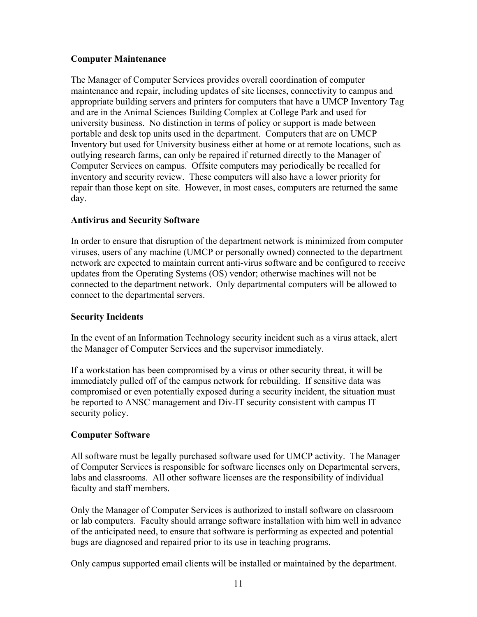### **Computer Maintenance**

The Manager of Computer Services provides overall coordination of computer maintenance and repair, including updates of site licenses, connectivity to campus and appropriate building servers and printers for computers that have a UMCP Inventory Tag and are in the Animal Sciences Building Complex at College Park and used for university business. No distinction in terms of policy or support is made between portable and desk top units used in the department. Computers that are on UMCP Inventory but used for University business either at home or at remote locations, such as outlying research farms, can only be repaired if returned directly to the Manager of Computer Services on campus. Offsite computers may periodically be recalled for inventory and security review. These computers will also have a lower priority for repair than those kept on site. However, in most cases, computers are returned the same day.

# **Antivirus and Security Software**

In order to ensure that disruption of the department network is minimized from computer viruses, users of any machine (UMCP or personally owned) connected to the department network are expected to maintain current anti-virus software and be configured to receive updates from the Operating Systems (OS) vendor; otherwise machines will not be connected to the department network. Only departmental computers will be allowed to connect to the departmental servers.

### **Security Incidents**

In the event of an Information Technology security incident such as a virus attack, alert the Manager of Computer Services and the supervisor immediately.

If a workstation has been compromised by a virus or other security threat, it will be immediately pulled off of the campus network for rebuilding. If sensitive data was compromised or even potentially exposed during a security incident, the situation must be reported to ANSC management and Div-IT security consistent with campus IT security policy.

# **Computer Software**

All software must be legally purchased software used for UMCP activity. The Manager of Computer Services is responsible for software licenses only on Departmental servers, labs and classrooms. All other software licenses are the responsibility of individual faculty and staff members.

Only the Manager of Computer Services is authorized to install software on classroom or lab computers. Faculty should arrange software installation with him well in advance of the anticipated need, to ensure that software is performing as expected and potential bugs are diagnosed and repaired prior to its use in teaching programs.

Only campus supported email clients will be installed or maintained by the department.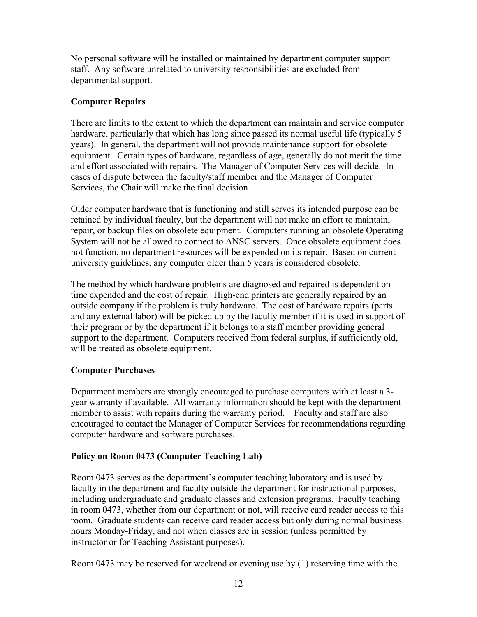No personal software will be installed or maintained by department computer support staff. Any software unrelated to university responsibilities are excluded from departmental support.

# **Computer Repairs**

There are limits to the extent to which the department can maintain and service computer hardware, particularly that which has long since passed its normal useful life (typically 5 years). In general, the department will not provide maintenance support for obsolete equipment. Certain types of hardware, regardless of age, generally do not merit the time and effort associated with repairs. The Manager of Computer Services will decide. In cases of dispute between the faculty/staff member and the Manager of Computer Services, the Chair will make the final decision.

Older computer hardware that is functioning and still serves its intended purpose can be retained by individual faculty, but the department will not make an effort to maintain, repair, or backup files on obsolete equipment. Computers running an obsolete Operating System will not be allowed to connect to ANSC servers. Once obsolete equipment does not function, no department resources will be expended on its repair. Based on current university guidelines, any computer older than 5 years is considered obsolete.

The method by which hardware problems are diagnosed and repaired is dependent on time expended and the cost of repair. High-end printers are generally repaired by an outside company if the problem is truly hardware. The cost of hardware repairs (parts and any external labor) will be picked up by the faculty member if it is used in support of their program or by the department if it belongs to a staff member providing general support to the department. Computers received from federal surplus, if sufficiently old, will be treated as obsolete equipment.

# **Computer Purchases**

Department members are strongly encouraged to purchase computers with at least a 3 year warranty if available. All warranty information should be kept with the department member to assist with repairs during the warranty period. Faculty and staff are also encouraged to contact the Manager of Computer Services for recommendations regarding computer hardware and software purchases.

### **Policy on Room 0473 (Computer Teaching Lab)**

Room 0473 serves as the department's computer teaching laboratory and is used by faculty in the department and faculty outside the department for instructional purposes, including undergraduate and graduate classes and extension programs. Faculty teaching in room 0473, whether from our department or not, will receive card reader access to this room. Graduate students can receive card reader access but only during normal business hours Monday-Friday, and not when classes are in session (unless permitted by instructor or for Teaching Assistant purposes).

Room 0473 may be reserved for weekend or evening use by (1) reserving time with the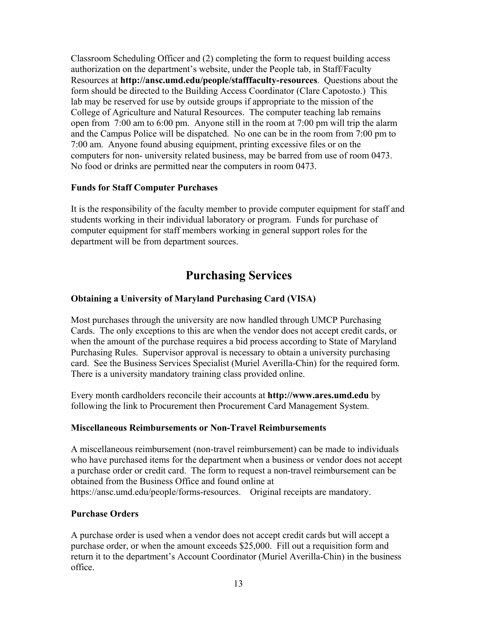Classroom Scheduling Officer and (2) completing the form to request building access authorization on the department's website, under the People tab, in Staff/Faculty Resources at **http://ansc.umd.edu/people/stafffaculty-resources**. Questions about the form should be directed to the Building Access Coordinator (Clare Capotosto.) This lab may be reserved for use by outside groups if appropriate to the mission of the College of Agriculture and Natural Resources. The computer teaching lab remains open from 7:00 am to 6:00 pm. Anyone still in the room at 7:00 pm will trip the alarm and the Campus Police will be dispatched. No one can be in the room from 7:00 pm to 7:00 am. Anyone found abusing equipment, printing excessive files or on the computers for non- university related business, may be barred from use of room 0473. No food or drinks are permitted near the computers in room 0473.

### **Funds for Staff Computer Purchases**

It is the responsibility of the faculty member to provide computer equipment for staff and students working in their individual laboratory or program. Funds for purchase of computer equipment for staff members working in general support roles for the department will be from department sources.

# **Purchasing Services**

### **Obtaining a University of Maryland Purchasing Card (VISA)**

Most purchases through the university are now handled through UMCP Purchasing Cards. The only exceptions to this are when the vendor does not accept credit cards, or when the amount of the purchase requires a bid process according to State of Maryland Purchasing Rules. Supervisor approval is necessary to obtain a university purchasing card. See the Business Services Specialist (Muriel Averilla-Chin) for the required form. There is a university mandatory training class provided online.

Every month cardholders reconcile their accounts at **http://www.ares.umd.edu** by following the link to Procurement then Procurement Card Management System.

### **Miscellaneous Reimbursements or Non-Travel Reimbursements**

A miscellaneous reimbursement (non-travel reimbursement) can be made to individuals who have purchased items for the department when a business or vendor does not accept a purchase order or credit card. The form to request a non-travel reimbursement can be obtained from the Business Office and found online at https://ansc.umd.edu/people/forms-resources. Original receipts are mandatory.

### **Purchase Orders**

A purchase order is used when a vendor does not accept credit cards but will accept a purchase order, or when the amount exceeds \$25,000. Fill out a requisition form and return it to the department's Account Coordinator (Muriel Averilla-Chin) in the business office.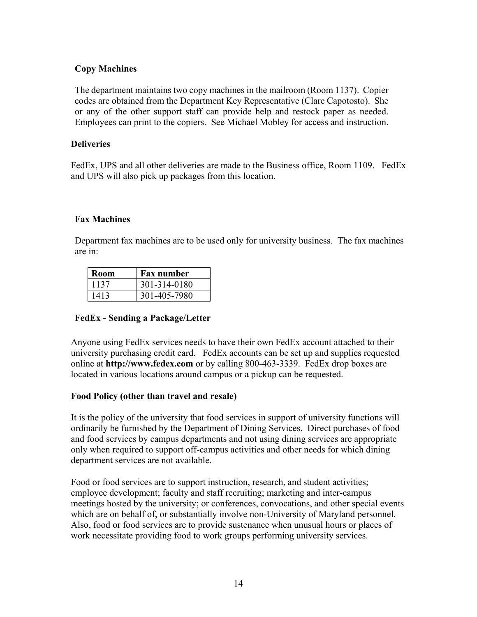### **Copy Machines**

The department maintains two copy machines in the mailroom (Room 1137). Copier codes are obtained from the Department Key Representative (Clare Capotosto). She or any of the other support staff can provide help and restock paper as needed. Employees can print to the copiers. See Michael Mobley for access and instruction.

### **Deliveries**

FedEx, UPS and all other deliveries are made to the Business office, Room 1109. FedEx and UPS will also pick up packages from this location.

### **Fax Machines**

Department fax machines are to be used only for university business. The fax machines are in:

| Room | <b>Fax number</b> |
|------|-------------------|
| 1137 | 301-314-0180      |
| 1413 | 301-405-7980      |

### **FedEx - Sending a Package/Letter**

Anyone using FedEx services needs to have their own FedEx account attached to their university purchasing credit card. FedEx accounts can be set up and supplies requested online at **http://www.fedex.com** or by calling 800-463-3339. FedEx drop boxes are located in various locations around campus or a pickup can be requested.

### **Food Policy (other than travel and resale)**

It is the policy of the university that food services in support of university functions will ordinarily be furnished by the Department of Dining Services. Direct purchases of food and food services by campus departments and not using dining services are appropriate only when required to support off-campus activities and other needs for which dining department services are not available.

Food or food services are to support instruction, research, and student activities; employee development; faculty and staff recruiting; marketing and inter-campus meetings hosted by the university; or conferences, convocations, and other special events which are on behalf of, or substantially involve non-University of Maryland personnel. Also, food or food services are to provide sustenance when unusual hours or places of work necessitate providing food to work groups performing university services.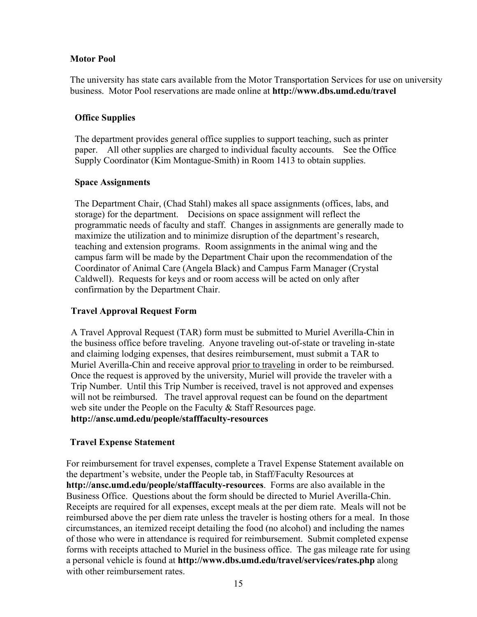### **Motor Pool**

The university has state cars available from the Motor Transportation Services for use on university business. Motor Pool reservations are made online at **http://www.dbs.umd.edu/travel**

### **Office Supplies**

The department provides general office supplies to support teaching, such as printer paper. All other supplies are charged to individual faculty accounts. See the Office Supply Coordinator (Kim Montague-Smith) in Room 1413 to obtain supplies.

### **Space Assignments**

The Department Chair, (Chad Stahl) makes all space assignments (offices, labs, and storage) for the department. Decisions on space assignment will reflect the programmatic needs of faculty and staff. Changes in assignments are generally made to maximize the utilization and to minimize disruption of the department's research, teaching and extension programs. Room assignments in the animal wing and the campus farm will be made by the Department Chair upon the recommendation of the Coordinator of Animal Care (Angela Black) and Campus Farm Manager (Crystal Caldwell). Requests for keys and or room access will be acted on only after confirmation by the Department Chair.

### **Travel Approval Request Form**

A Travel Approval Request (TAR) form must be submitted to Muriel Averilla-Chin in the business office before traveling. Anyone traveling out-of-state or traveling in-state and claiming lodging expenses, that desires reimbursement, must submit a TAR to Muriel Averilla-Chin and receive approval prior to traveling in order to be reimbursed. Once the request is approved by the university, Muriel will provide the traveler with a Trip Number. Until this Trip Number is received, travel is not approved and expenses will not be reimbursed. The travel approval request can be found on the department web site under the People on the Faculty & Staff Resources page. **http://ansc.umd.edu/people/stafffaculty-resources** 

### **Travel Expense Statement**

For reimbursement for travel expenses, complete a Travel Expense Statement available on the department's website, under the People tab, in Staff/Faculty Resources at **http://ansc.umd.edu/people/stafffaculty-resources**. Forms are also available in the Business Office. Questions about the form should be directed to Muriel Averilla-Chin. Receipts are required for all expenses, except meals at the per diem rate. Meals will not be reimbursed above the per diem rate unless the traveler is hosting others for a meal. In those circumstances, an itemized receipt detailing the food (no alcohol) and including the names of those who were in attendance is required for reimbursement. Submit completed expense forms with receipts attached to Muriel in the business office. The gas mileage rate for using a personal vehicle is found at **http://www.dbs.umd.edu/travel/services/rates.php** along with other reimbursement rates.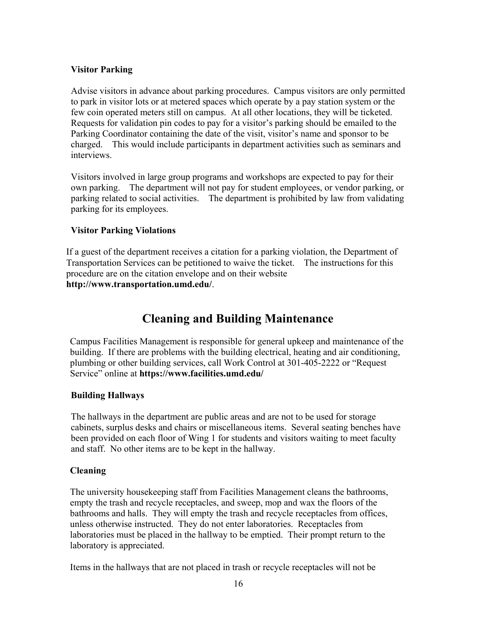### **Visitor Parking**

Advise visitors in advance about parking procedures. Campus visitors are only permitted to park in visitor lots or at metered spaces which operate by a pay station system or the few coin operated meters still on campus. At all other locations, they will be ticketed. Requests for validation pin codes to pay for a visitor's parking should be emailed to the Parking Coordinator containing the date of the visit, visitor's name and sponsor to be charged. This would include participants in department activities such as seminars and interviews.

Visitors involved in large group programs and workshops are expected to pay for their own parking. The department will not pay for student employees, or vendor parking, or parking related to social activities. The department is prohibited by law from validating parking for its employees.

### **Visitor Parking Violations**

If a guest of the department receives a citation for a parking violation, the Department of Transportation Services can be petitioned to waive the ticket. The instructions for this procedure are on the citation envelope and on their website **http://www.transportation.umd.edu/**.

# **Cleaning and Building Maintenance**

Campus Facilities Management is responsible for general upkeep and maintenance of the building. If there are problems with the building electrical, heating and air conditioning, plumbing or other building services, call Work Control at 301-405-2222 or "Request Service" online at **https://www.facilities.umd.edu/**

### **Building Hallways**

The hallways in the department are public areas and are not to be used for storage cabinets, surplus desks and chairs or miscellaneous items. Several seating benches have been provided on each floor of Wing 1 for students and visitors waiting to meet faculty and staff. No other items are to be kept in the hallway.

### **Cleaning**

The university housekeeping staff from Facilities Management cleans the bathrooms, empty the trash and recycle receptacles, and sweep, mop and wax the floors of the bathrooms and halls. They will empty the trash and recycle receptacles from offices, unless otherwise instructed. They do not enter laboratories. Receptacles from laboratories must be placed in the hallway to be emptied. Their prompt return to the laboratory is appreciated.

Items in the hallways that are not placed in trash or recycle receptacles will not be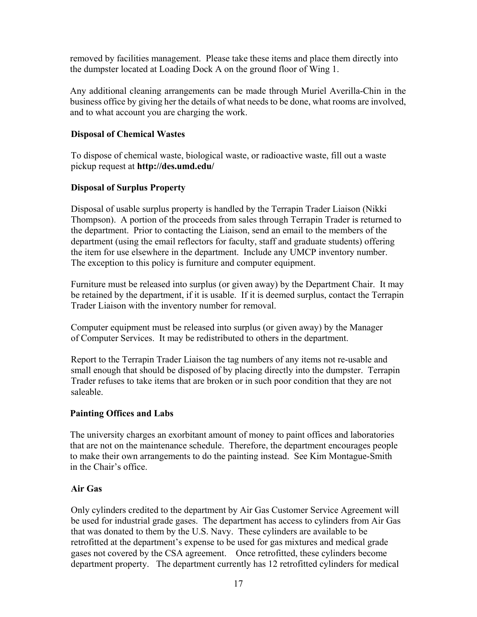removed by facilities management. Please take these items and place them directly into the dumpster located at Loading Dock A on the ground floor of Wing 1.

Any additional cleaning arrangements can be made through Muriel Averilla-Chin in the business office by giving her the details of what needs to be done, what rooms are involved, and to what account you are charging the work.

### **Disposal of Chemical Wastes**

To dispose of chemical waste, biological waste, or radioactive waste, fill out a waste pickup request at **http://des.umd.edu/**

### **Disposal of Surplus Property**

Disposal of usable surplus property is handled by the Terrapin Trader Liaison (Nikki Thompson). A portion of the proceeds from sales through Terrapin Trader is returned to the department. Prior to contacting the Liaison, send an email to the members of the department (using the email reflectors for faculty, staff and graduate students) offering the item for use elsewhere in the department. Include any UMCP inventory number. The exception to this policy is furniture and computer equipment.

Furniture must be released into surplus (or given away) by the Department Chair. It may be retained by the department, if it is usable. If it is deemed surplus, contact the Terrapin Trader Liaison with the inventory number for removal.

Computer equipment must be released into surplus (or given away) by the Manager of Computer Services. It may be redistributed to others in the department.

Report to the Terrapin Trader Liaison the tag numbers of any items not re-usable and small enough that should be disposed of by placing directly into the dumpster. Terrapin Trader refuses to take items that are broken or in such poor condition that they are not saleable.

### **Painting Offices and Labs**

The university charges an exorbitant amount of money to paint offices and laboratories that are not on the maintenance schedule. Therefore, the department encourages people to make their own arrangements to do the painting instead. See Kim Montague-Smith in the Chair's office.

### **Air Gas**

Only cylinders credited to the department by Air Gas Customer Service Agreement will be used for industrial grade gases. The department has access to cylinders from Air Gas that was donated to them by the U.S. Navy. These cylinders are available to be retrofitted at the department's expense to be used for gas mixtures and medical grade gases not covered by the CSA agreement. Once retrofitted, these cylinders become department property. The department currently has 12 retrofitted cylinders for medical